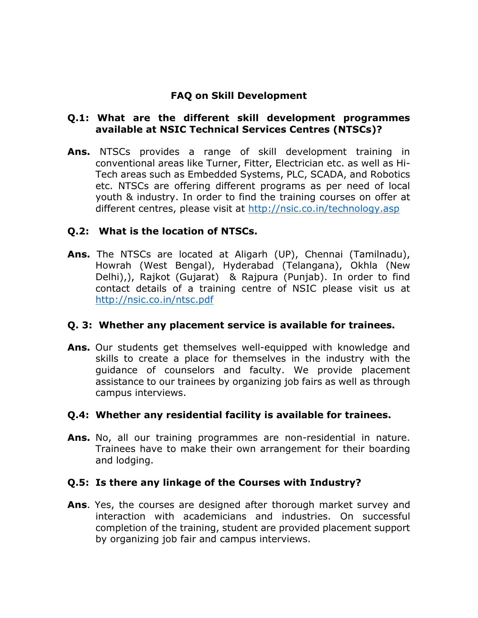# **FAQ on Skill Development**

#### **Q.1: What are the different skill development programmes available at NSIC Technical Services Centres (NTSCs)?**

**Ans.** NTSCs provides a range of skill development training in conventional areas like Turner, Fitter, Electrician etc. as well as Hi-Tech areas such as Embedded Systems, PLC, SCADA, and Robotics etc. NTSCs are offering different programs as per need of local youth & industry. In order to find the training courses on offer at different centres, please visit at<http://nsic.co.in/technology.asp>

#### **Q.2: What is the location of NTSCs.**

**Ans.** The NTSCs are located at Aligarh (UP), Chennai (Tamilnadu), Howrah (West Bengal), Hyderabad (Telangana), Okhla (New Delhi),), Rajkot (Gujarat) & Rajpura (Punjab). In order to find contact details of a training centre of NSIC please visit us at <http://nsic.co.in/ntsc.pdf>

#### **Q. 3: Whether any placement service is available for trainees.**

**Ans.** Our students get themselves well-equipped with knowledge and skills to create a place for themselves in the industry with the guidance of counselors and faculty. We provide placement assistance to our trainees by organizing job fairs as well as through campus interviews.

#### **Q.4: Whether any residential facility is available for trainees.**

**Ans.** No, all our training programmes are non-residential in nature. Trainees have to make their own arrangement for their boarding and lodging.

#### **Q.5: Is there any linkage of the Courses with Industry?**

**Ans**. Yes, the courses are designed after thorough market survey and interaction with academicians and industries. On successful completion of the training, student are provided placement support by organizing job fair and campus interviews.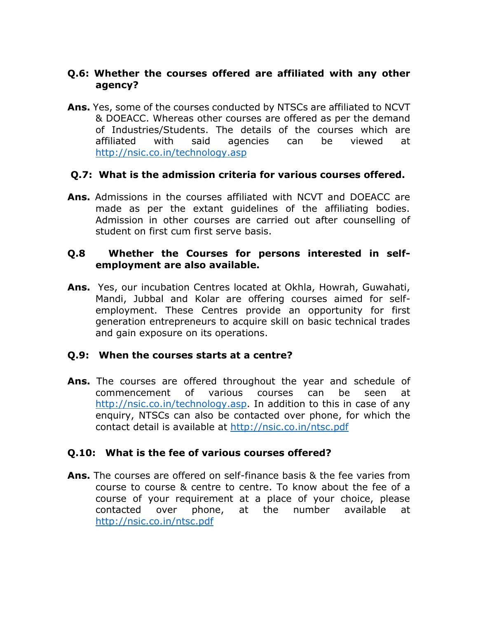## **Q.6: Whether the courses offered are affiliated with any other agency?**

**Ans.** Yes, some of the courses conducted by NTSCs are affiliated to NCVT & DOEACC. Whereas other courses are offered as per the demand of Industries/Students. The details of the courses which are affiliated with said agencies can be viewed at <http://nsic.co.in/technology.asp>

### **Q.7: What is the admission criteria for various courses offered.**

**Ans.** Admissions in the courses affiliated with NCVT and DOEACC are made as per the extant guidelines of the affiliating bodies. Admission in other courses are carried out after counselling of student on first cum first serve basis.

#### **Q.8 Whether the Courses for persons interested in selfemployment are also available.**

**Ans.** Yes, our incubation Centres located at Okhla, Howrah, Guwahati, Mandi, Jubbal and Kolar are offering courses aimed for selfemployment. These Centres provide an opportunity for first generation entrepreneurs to acquire skill on basic technical trades and gain exposure on its operations.

#### **Q.9: When the courses starts at a centre?**

**Ans.** The courses are offered throughout the year and schedule of commencement of various courses can be seen at [http://nsic.co.in/technology.asp.](http://nsic.co.in/technology.asp) In addition to this in case of any enquiry, NTSCs can also be contacted over phone, for which the contact detail is available at<http://nsic.co.in/ntsc.pdf>

#### **Q.10: What is the fee of various courses offered?**

**Ans.** The courses are offered on self-finance basis & the fee varies from course to course & centre to centre. To know about the fee of a course of your requirement at a place of your choice, please contacted over phone, at the number available at <http://nsic.co.in/ntsc.pdf>